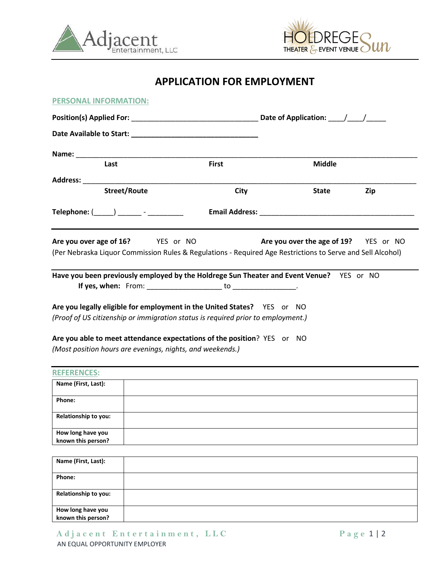



# **APPLICATION FOR EMPLOYMENT**

| <b>PERSONAL INFORMATION:</b>                                                                                                                                |                                      |                                       |     |
|-------------------------------------------------------------------------------------------------------------------------------------------------------------|--------------------------------------|---------------------------------------|-----|
|                                                                                                                                                             |                                      |                                       |     |
|                                                                                                                                                             |                                      |                                       |     |
|                                                                                                                                                             |                                      |                                       |     |
| Last                                                                                                                                                        | <b>First</b>                         | <b>Middle</b>                         |     |
|                                                                                                                                                             |                                      |                                       |     |
| <b>Street/Route</b>                                                                                                                                         | City                                 | State                                 | Zip |
| $\mathsf{Telephone:} ($ $)$ $\qquad \qquad$ $\qquad \qquad$                                                                                                 | <b>Email Address: Email Address:</b> |                                       |     |
| Are you over age of 16? YES or NO<br>(Per Nebraska Liquor Commission Rules & Regulations - Required Age Restrictions to Serve and Sell Alcohol)             |                                      | Are you over the age of 19? YES or NO |     |
| Have you been previously employed by the Holdrege Sun Theater and Event Venue? YES or NO                                                                    |                                      |                                       |     |
|                                                                                                                                                             |                                      |                                       |     |
| Are you legally eligible for employment in the United States? YES or NO<br>(Proof of US citizenship or immigration status is required prior to employment.) |                                      |                                       |     |
| Are you able to meet attendance expectations of the position? YES or NO                                                                                     |                                      |                                       |     |
| (Most position hours are evenings, nights, and weekends.)                                                                                                   |                                      |                                       |     |
| <b>REFERENCES:</b>                                                                                                                                          |                                      |                                       |     |
| Name (First, Last):                                                                                                                                         |                                      |                                       |     |
| Phone:                                                                                                                                                      |                                      |                                       |     |
| Relationship to you:                                                                                                                                        |                                      |                                       |     |

| Name (First, Last):                     |  |
|-----------------------------------------|--|
|                                         |  |
| Phone:                                  |  |
|                                         |  |
| Relationship to you:                    |  |
|                                         |  |
|                                         |  |
| How long have you<br>known this person? |  |

**How long have you known this person?**